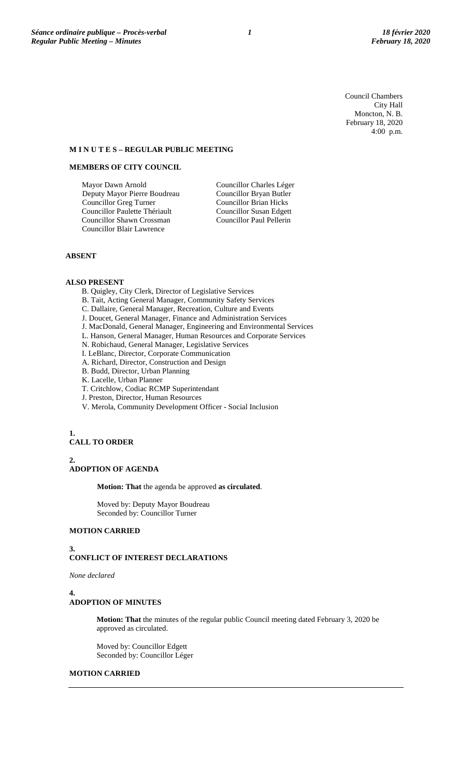Council Chambers City Hall Moncton, N. B. February 18, 2020 4:00 p.m.

#### **M I N U T E S – REGULAR PUBLIC MEETING**

# **MEMBERS OF CITY COUNCIL**

Mayor Dawn Arnold Deputy Mayor Pierre Boudreau Councillor Greg Turner Councillor Paulette Thériault Councillor Shawn Crossman Councillor Blair Lawrence

Councillor Charles Léger Councillor Bryan Butler Councillor Brian Hicks Councillor Susan Edgett Councillor Paul Pellerin

# **ABSENT**

### **ALSO PRESENT**

- B. Quigley, City Clerk, Director of Legislative Services
- B. Tait, Acting General Manager, Community Safety Services
- C. Dallaire, General Manager, Recreation, Culture and Events
- J. Doucet, General Manager, Finance and Administration Services
- J. MacDonald, General Manager, Engineering and Environmental Services
- L. Hanson, General Manager, Human Resources and Corporate Services
- N. Robichaud, General Manager, Legislative Services
- I. LeBlanc, Director, Corporate Communication
- A. Richard, Director, Construction and Design
- B. Budd, Director, Urban Planning
- K. Lacelle, Urban Planner
- T. Critchlow, Codiac RCMP Superintendant
- J. Preston, Director, Human Resources
- V. Merola, Community Development Officer Social Inclusion

# **1. CALL TO ORDER**

**2. ADOPTION OF AGENDA**

**Motion: That** the agenda be approved **as circulated**.

Moved by: Deputy Mayor Boudreau Seconded by: Councillor Turner

### **MOTION CARRIED**

#### **3. CONFLICT OF INTEREST DECLARATIONS**

*None declared*

### **4.**

# **ADOPTION OF MINUTES**

**Motion: That** the minutes of the regular public Council meeting dated February 3, 2020 be approved as circulated.

Moved by: Councillor Edgett Seconded by: Councillor Léger

## **MOTION CARRIED**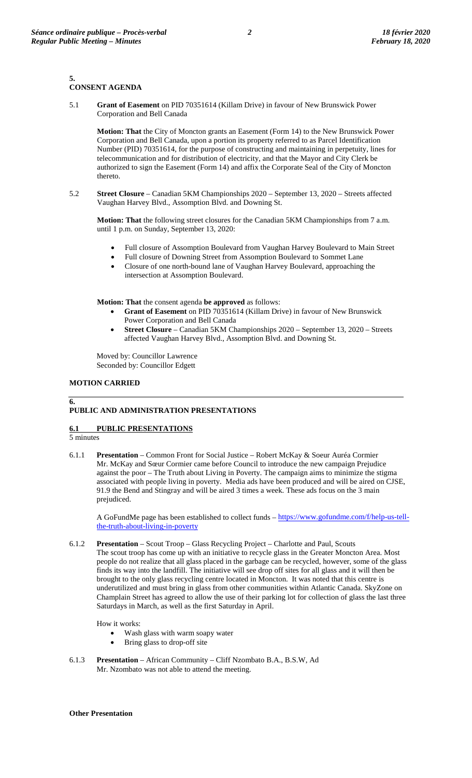### **5. CONSENT AGENDA**

5.1 **Grant of Easement** on PID 70351614 (Killam Drive) in favour of New Brunswick Power Corporation and Bell Canada

**Motion: That** the City of Moncton grants an Easement (Form 14) to the New Brunswick Power Corporation and Bell Canada, upon a portion its property referred to as Parcel Identification Number (PID) 70351614, for the purpose of constructing and maintaining in perpetuity, lines for telecommunication and for distribution of electricity, and that the Mayor and City Clerk be authorized to sign the Easement (Form 14) and affix the Corporate Seal of the City of Moncton thereto.

5.2 **Street Closure** – Canadian 5KM Championships 2020 – September 13, 2020 – Streets affected Vaughan Harvey Blvd., Assomption Blvd. and Downing St.

**Motion: That** the following street closures for the Canadian 5KM Championships from 7 a.m. until 1 p.m. on Sunday, September 13, 2020:

- Full closure of Assomption Boulevard from Vaughan Harvey Boulevard to Main Street
- Full closure of Downing Street from Assomption Boulevard to Sommet Lane
- Closure of one north-bound lane of Vaughan Harvey Boulevard, approaching the intersection at Assomption Boulevard.

**Motion: That** the consent agenda **be approved** as follows:

- **Grant of Easement** on PID 70351614 (Killam Drive) in favour of New Brunswick Power Corporation and Bell Canada
- **Street Closure** Canadian 5KM Championships 2020 September 13, 2020 Streets affected Vaughan Harvey Blvd., Assomption Blvd. and Downing St.

Moved by: Councillor Lawrence Seconded by: Councillor Edgett

# **MOTION CARRIED**

# **PUBLIC AND ADMINISTRATION PRESENTATIONS**

# **6.1 PUBLIC PRESENTATIONS**

5 minutes

**6.**

6.1.1 **Presentation** – Common Front for Social Justice – Robert McKay & Soeur Auréa Cormier Mr. McKay and Sœur Cormier came before Council to introduce the new campaign Prejudice against the poor – The Truth about Living in Poverty. The campaign aims to minimize the stigma associated with people living in poverty. Media ads have been produced and will be aired on CJSE, 91.9 the Bend and Stingray and will be aired 3 times a week. These ads focus on the 3 main prejudiced.

A GoFundMe page has been established to collect funds – [https://www.gofundme.com/f/help-us-tell](https://www.gofundme.com/f/help-us-tell-the-truth-about-living-in-poverty)[the-truth-about-living-in-poverty](https://www.gofundme.com/f/help-us-tell-the-truth-about-living-in-poverty)

6.1.2 **Presentation** – Scout Troop – Glass Recycling Project – Charlotte and Paul, Scouts The scout troop has come up with an initiative to recycle glass in the Greater Moncton Area. Most people do not realize that all glass placed in the garbage can be recycled, however, some of the glass finds its way into the landfill. The initiative will see drop off sites for all glass and it will then be brought to the only glass recycling centre located in Moncton. It was noted that this centre is underutilized and must bring in glass from other communities within Atlantic Canada. SkyZone on Champlain Street has agreed to allow the use of their parking lot for collection of glass the last three Saturdays in March, as well as the first Saturday in April.

How it works:

- Wash glass with warm soapy water
- Bring glass to drop-off site
- 6.1.3 **Presentation** African Community Cliff Nzombato B.A., B.S.W, Ad Mr. Nzombato was not able to attend the meeting.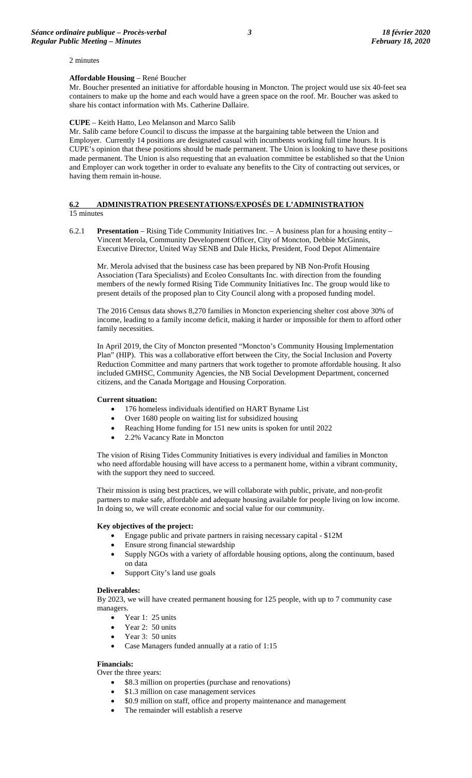2 minutes

#### **Affordable Housing** – René Boucher

Mr. Boucher presented an initiative for affordable housing in Moncton. The project would use six 40-feet sea containers to make up the home and each would have a green space on the roof. Mr. Boucher was asked to share his contact information with Ms. Catherine Dallaire.

#### **CUPE** – Keith Hatto, Leo Melanson and Marco Salib

Mr. Salib came before Council to discuss the impasse at the bargaining table between the Union and Employer. Currently 14 positions are designated casual with incumbents working full time hours. It is CUPE's opinion that these positions should be made permanent. The Union is looking to have these positions made permanent. The Union is also requesting that an evaluation committee be established so that the Union and Employer can work together in order to evaluate any benefits to the City of contracting out services, or having them remain in-house.

#### **6.2 ADMINISTRATION PRESENTATIONS/EXPOSÉS DE L'ADMINISTRATION**  15 minutes

6.2.1 **Presentation** – Rising Tide Community Initiatives Inc. – A business plan for a housing entity – Vincent Merola, Community Development Officer, City of Moncton, Debbie McGinnis, Executive Director, United Way SENB and Dale Hicks, President, Food Depot Alimentaire

Mr. Merola advised that the business case has been prepared by NB Non-Profit Housing Association (Tara Specialists) and Ecoleo Consultants Inc. with direction from the founding members of the newly formed Rising Tide Community Initiatives Inc. The group would like to present details of the proposed plan to City Council along with a proposed funding model.

The 2016 Census data shows 8,270 families in Moncton experiencing shelter cost above 30% of income, leading to a family income deficit, making it harder or impossible for them to afford other family necessities.

In April 2019, the City of Moncton presented "Moncton's Community Housing Implementation Plan" (HIP). This was a collaborative effort between the City, the Social Inclusion and Poverty Reduction Committee and many partners that work together to promote affordable housing. It also included GMHSC, Community Agencies, the NB Social Development Department, concerned citizens, and the Canada Mortgage and Housing Corporation.

#### **Current situation:**

- 176 homeless individuals identified on HART Byname List
- Over 1680 people on waiting list for subsidized housing
- Reaching Home funding for 151 new units is spoken for until 2022
- 2.2% Vacancy Rate in Moncton

The vision of Rising Tides Community Initiatives is every individual and families in Moncton who need affordable housing will have access to a permanent home, within a vibrant community, with the support they need to succeed.

Their mission is using best practices, we will collaborate with public, private, and non-profit partners to make safe, affordable and adequate housing available for people living on low income. In doing so, we will create economic and social value for our community.

### **Key objectives of the project:**

- Engage public and private partners in raising necessary capital \$12M
- Ensure strong financial stewardship
- Supply NGOs with a variety of affordable housing options, along the continuum, based on data
- Support City's land use goals

#### **Deliverables:**

By 2023, we will have created permanent housing for 125 people, with up to 7 community case managers.

- Year 1: 25 units
- Year 2: 50 units
- Year 3: 50 units
- Case Managers funded annually at a ratio of 1:15

# **Financials:**

Over the three years:

- \$8.3 million on properties (purchase and renovations)
- \$1.3 million on case management services
- \$0.9 million on staff, office and property maintenance and management
- The remainder will establish a reserve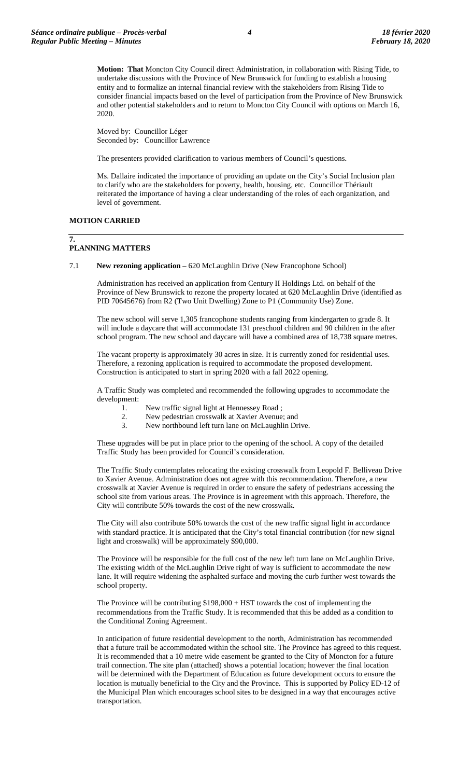**Motion: That** Moncton City Council direct Administration, in collaboration with Rising Tide, to undertake discussions with the Province of New Brunswick for funding to establish a housing entity and to formalize an internal financial review with the stakeholders from Rising Tide to consider financial impacts based on the level of participation from the Province of New Brunswick and other potential stakeholders and to return to Moncton City Council with options on March 16, 2020.

Moved by: Councillor Léger Seconded by: Councillor Lawrence

The presenters provided clarification to various members of Council's questions.

Ms. Dallaire indicated the importance of providing an update on the City's Social Inclusion plan to clarify who are the stakeholders for poverty, health, housing, etc. Councillor Thériault reiterated the importance of having a clear understanding of the roles of each organization, and level of government.

#### **MOTION CARRIED**

#### **7. PLANNING MATTERS**

7.1 **New rezoning application** – 620 McLaughlin Drive (New Francophone School)

Administration has received an application from Century II Holdings Ltd. on behalf of the Province of New Brunswick to rezone the property located at 620 McLaughlin Drive (identified as PID 70645676) from R2 (Two Unit Dwelling) Zone to P1 (Community Use) Zone.

The new school will serve 1,305 francophone students ranging from kindergarten to grade 8. It will include a daycare that will accommodate 131 preschool children and 90 children in the after school program. The new school and daycare will have a combined area of 18,738 square metres.

The vacant property is approximately 30 acres in size. It is currently zoned for residential uses. Therefore, a rezoning application is required to accommodate the proposed development. Construction is anticipated to start in spring 2020 with a fall 2022 opening.

A Traffic Study was completed and recommended the following upgrades to accommodate the development:

- 1. New traffic signal light at Hennessey Road ;<br>2. New pedestrian crosswalk at Xavier Avenue:
- 2. New pedestrian crosswalk at Xavier Avenue; and<br>3. New northbound left turn lane on McLaughlin Dri
- New northbound left turn lane on McLaughlin Drive.

These upgrades will be put in place prior to the opening of the school. A copy of the detailed Traffic Study has been provided for Council's consideration.

The Traffic Study contemplates relocating the existing crosswalk from Leopold F. Belliveau Drive to Xavier Avenue. Administration does not agree with this recommendation. Therefore, a new crosswalk at Xavier Avenue is required in order to ensure the safety of pedestrians accessing the school site from various areas. The Province is in agreement with this approach. Therefore, the City will contribute 50% towards the cost of the new crosswalk.

The City will also contribute 50% towards the cost of the new traffic signal light in accordance with standard practice. It is anticipated that the City's total financial contribution (for new signal light and crosswalk) will be approximately \$90,000.

The Province will be responsible for the full cost of the new left turn lane on McLaughlin Drive. The existing width of the McLaughlin Drive right of way is sufficient to accommodate the new lane. It will require widening the asphalted surface and moving the curb further west towards the school property.

The Province will be contributing \$198,000 + HST towards the cost of implementing the recommendations from the Traffic Study. It is recommended that this be added as a condition to the Conditional Zoning Agreement.

In anticipation of future residential development to the north, Administration has recommended that a future trail be accommodated within the school site. The Province has agreed to this request. It is recommended that a 10 metre wide easement be granted to the City of Moncton for a future trail connection. The site plan (attached) shows a potential location; however the final location will be determined with the Department of Education as future development occurs to ensure the location is mutually beneficial to the City and the Province. This is supported by Policy ED-12 of the Municipal Plan which encourages school sites to be designed in a way that encourages active transportation.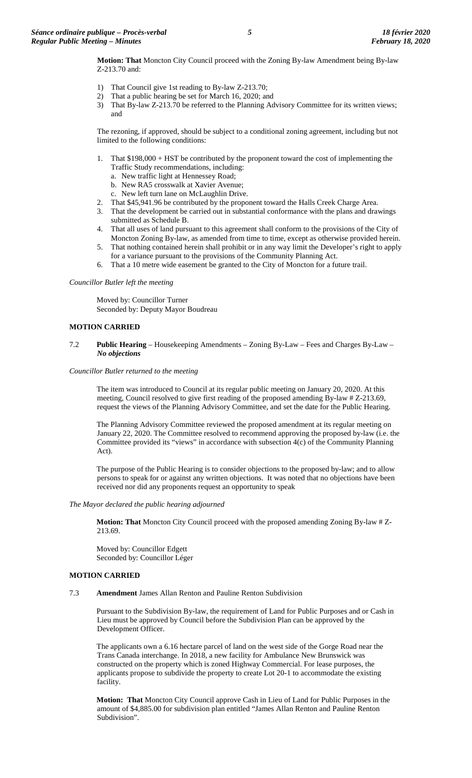**Motion: That** Moncton City Council proceed with the Zoning By-law Amendment being By-law Z-213.70 and:

- 1) That Council give 1st reading to By-law Z-213.70;
- 2) That a public hearing be set for March 16, 2020; and
- 3) That By-law Z-213.70 be referred to the Planning Advisory Committee for its written views; and

The rezoning, if approved, should be subject to a conditional zoning agreement, including but not limited to the following conditions:

- 1. That \$198,000 + HST be contributed by the proponent toward the cost of implementing the Traffic Study recommendations, including:
	- a. New traffic light at Hennessey Road;
	- b. New RA5 crosswalk at Xavier Avenue;
	- c. New left turn lane on McLaughlin Drive.
- 2. That \$45,941.96 be contributed by the proponent toward the Halls Creek Charge Area.
- 3. That the development be carried out in substantial conformance with the plans and drawings submitted as Schedule B.
- 4. That all uses of land pursuant to this agreement shall conform to the provisions of the City of Moncton Zoning By-law, as amended from time to time, except as otherwise provided herein.
- 5. That nothing contained herein shall prohibit or in any way limit the Developer's right to apply for a variance pursuant to the provisions of the Community Planning Act.
- 6. That a 10 metre wide easement be granted to the City of Moncton for a future trail.

*Councillor Butler left the meeting*

Moved by: Councillor Turner Seconded by: Deputy Mayor Boudreau

### **MOTION CARRIED**

#### 7.2 **Public Hearing** – Housekeeping Amendments – Zoning By-Law – Fees and Charges By-Law – *No objections*

#### *Councillor Butler returned to the meeting*

The item was introduced to Council at its regular public meeting on January 20, 2020. At this meeting, Council resolved to give first reading of the proposed amending By-law # Z-213.69, request the views of the Planning Advisory Committee, and set the date for the Public Hearing.

The Planning Advisory Committee reviewed the proposed amendment at its regular meeting on January 22, 2020. The Committee resolved to recommend approving the proposed by-law (i.e. the Committee provided its "views" in accordance with subsection 4(c) of the Community Planning Act).

The purpose of the Public Hearing is to consider objections to the proposed by-law; and to allow persons to speak for or against any written objections. It was noted that no objections have been received nor did any proponents request an opportunity to speak

### *The Mayor declared the public hearing adjourned*

**Motion: That** Moncton City Council proceed with the proposed amending Zoning By-law # Z-213.69.

Moved by: Councillor Edgett Seconded by: Councillor Léger

### **MOTION CARRIED**

#### 7.3 **Amendment** James Allan Renton and Pauline Renton Subdivision

Pursuant to the Subdivision By-law, the requirement of Land for Public Purposes and or Cash in Lieu must be approved by Council before the Subdivision Plan can be approved by the Development Officer.

The applicants own a 6.16 hectare parcel of land on the west side of the Gorge Road near the Trans Canada interchange. In 2018, a new facility for Ambulance New Brunswick was constructed on the property which is zoned Highway Commercial. For lease purposes, the applicants propose to subdivide the property to create Lot 20-1 to accommodate the existing facility.

**Motion: That** Moncton City Council approve Cash in Lieu of Land for Public Purposes in the amount of \$4,885.00 for subdivision plan entitled "James Allan Renton and Pauline Renton Subdivision".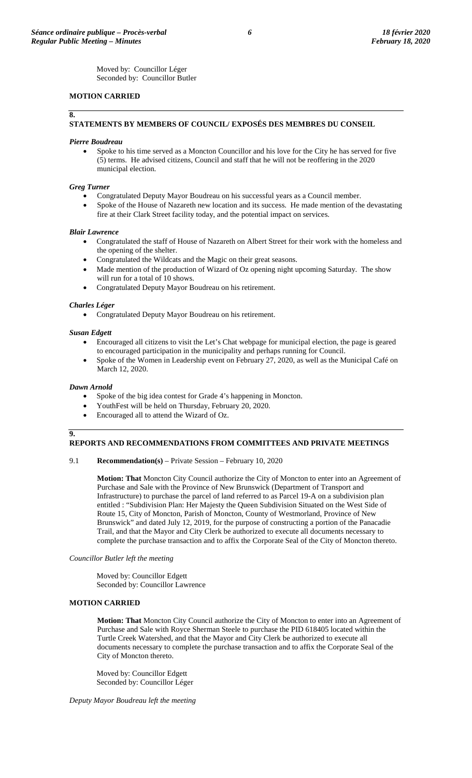Moved by: Councillor Léger Seconded by: Councillor Butler

# **MOTION CARRIED**

### **8.**

# **STATEMENTS BY MEMBERS OF COUNCIL/ EXPOSÉS DES MEMBRES DU CONSEIL**

### *Pierre Boudreau*

• Spoke to his time served as a Moncton Councillor and his love for the City he has served for five (5) terms. He advised citizens, Council and staff that he will not be reoffering in the 2020 municipal election.

### *Greg Turner*

- Congratulated Deputy Mayor Boudreau on his successful years as a Council member.
- Spoke of the House of Nazareth new location and its success. He made mention of the devastating fire at their Clark Street facility today, and the potential impact on services.

#### *Blair Lawrence*

- Congratulated the staff of House of Nazareth on Albert Street for their work with the homeless and the opening of the shelter.
- Congratulated the Wildcats and the Magic on their great seasons.
- Made mention of the production of Wizard of Oz opening night upcoming Saturday. The show will run for a total of 10 shows.
- Congratulated Deputy Mayor Boudreau on his retirement.

#### *Charles Léger*

• Congratulated Deputy Mayor Boudreau on his retirement.

#### *Susan Edgett*

- Encouraged all citizens to visit the Let's Chat webpage for municipal election, the page is geared to encouraged participation in the municipality and perhaps running for Council.
- Spoke of the Women in Leadership event on February 27, 2020, as well as the Municipal Café on March 12, 2020.

#### *Dawn Arnold*

- Spoke of the big idea contest for Grade 4's happening in Moncton.
- YouthFest will be held on Thursday, February 20, 2020.
- Encouraged all to attend the Wizard of Oz.

#### **9.**

#### **REPORTS AND RECOMMENDATIONS FROM COMMITTEES AND PRIVATE MEETINGS**

#### 9.1 **Recommendation(s)** – Private Session – February 10, 2020

**Motion: That** Moncton City Council authorize the City of Moncton to enter into an Agreement of Purchase and Sale with the Province of New Brunswick (Department of Transport and Infrastructure) to purchase the parcel of land referred to as Parcel 19-A on a subdivision plan entitled : "Subdivision Plan: Her Majesty the Queen Subdivision Situated on the West Side of Route 15, City of Moncton, Parish of Moncton, County of Westmorland, Province of New Brunswick" and dated July 12, 2019, for the purpose of constructing a portion of the Panacadie Trail, and that the Mayor and City Clerk be authorized to execute all documents necessary to complete the purchase transaction and to affix the Corporate Seal of the City of Moncton thereto.

#### *Councillor Butler left the meeting*

Moved by: Councillor Edgett Seconded by: Councillor Lawrence

# **MOTION CARRIED**

**Motion: That** Moncton City Council authorize the City of Moncton to enter into an Agreement of Purchase and Sale with Royce Sherman Steele to purchase the PID 618405 located within the Turtle Creek Watershed, and that the Mayor and City Clerk be authorized to execute all documents necessary to complete the purchase transaction and to affix the Corporate Seal of the City of Moncton thereto.

Moved by: Councillor Edgett Seconded by: Councillor Léger

*Deputy Mayor Boudreau left the meeting*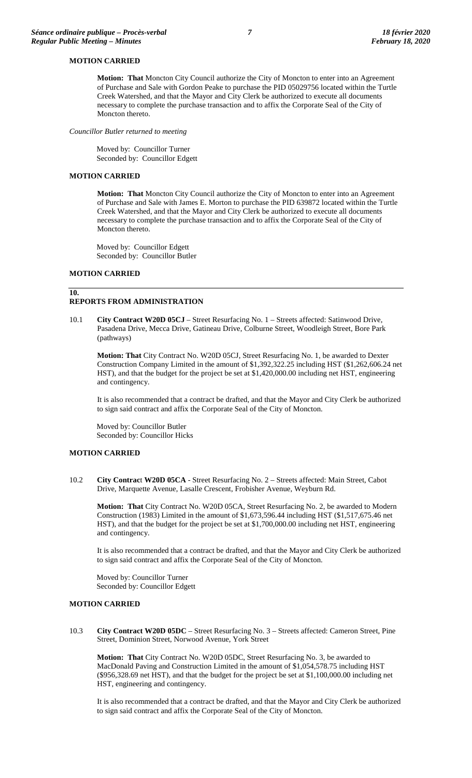# **MOTION CARRIED**

**Motion: That** Moncton City Council authorize the City of Moncton to enter into an Agreement of Purchase and Sale with Gordon Peake to purchase the PID 05029756 located within the Turtle Creek Watershed, and that the Mayor and City Clerk be authorized to execute all documents necessary to complete the purchase transaction and to affix the Corporate Seal of the City of Moncton thereto.

*Councillor Butler returned to meeting*

Moved by: Councillor Turner Seconded by: Councillor Edgett

### **MOTION CARRIED**

**Motion: That** Moncton City Council authorize the City of Moncton to enter into an Agreement of Purchase and Sale with James E. Morton to purchase the PID 639872 located within the Turtle Creek Watershed, and that the Mayor and City Clerk be authorized to execute all documents necessary to complete the purchase transaction and to affix the Corporate Seal of the City of Moncton thereto.

Moved by: Councillor Edgett Seconded by: Councillor Butler

### **MOTION CARRIED**

### **10.**

# **REPORTS FROM ADMINISTRATION**

10.1 **City Contract W20D 05CJ** – Street Resurfacing No. 1 – Streets affected: Satinwood Drive, Pasadena Drive, Mecca Drive, Gatineau Drive, Colburne Street, Woodleigh Street, Bore Park (pathways)

**Motion: That** City Contract No. W20D 05CJ, Street Resurfacing No. 1, be awarded to Dexter Construction Company Limited in the amount of \$1,392,322.25 including HST (\$1,262,606.24 net HST), and that the budget for the project be set at \$1,420,000.00 including net HST, engineering and contingency.

It is also recommended that a contract be drafted, and that the Mayor and City Clerk be authorized to sign said contract and affix the Corporate Seal of the City of Moncton.

Moved by: Councillor Butler Seconded by: Councillor Hicks

#### **MOTION CARRIED**

10.2 **City Contrac**t **W20D 05CA** - Street Resurfacing No. 2 – Streets affected: Main Street, Cabot Drive, Marquette Avenue, Lasalle Crescent, Frobisher Avenue, Weyburn Rd.

**Motion: That** City Contract No. W20D 05CA, Street Resurfacing No. 2, be awarded to Modern Construction (1983) Limited in the amount of \$1,673,596.44 including HST (\$1,517,675.46 net HST), and that the budget for the project be set at \$1,700,000.00 including net HST, engineering and contingency.

It is also recommended that a contract be drafted, and that the Mayor and City Clerk be authorized to sign said contract and affix the Corporate Seal of the City of Moncton.

Moved by: Councillor Turner Seconded by: Councillor Edgett

### **MOTION CARRIED**

10.3 **City Contract W20D 05DC** – Street Resurfacing No. 3 – Streets affected: Cameron Street, Pine Street, Dominion Street, Norwood Avenue, York Street

**Motion: That** City Contract No. W20D 05DC, Street Resurfacing No. 3, be awarded to MacDonald Paving and Construction Limited in the amount of \$1,054,578.75 including HST (\$956,328.69 net HST), and that the budget for the project be set at \$1,100,000.00 including net HST, engineering and contingency.

It is also recommended that a contract be drafted, and that the Mayor and City Clerk be authorized to sign said contract and affix the Corporate Seal of the City of Moncton.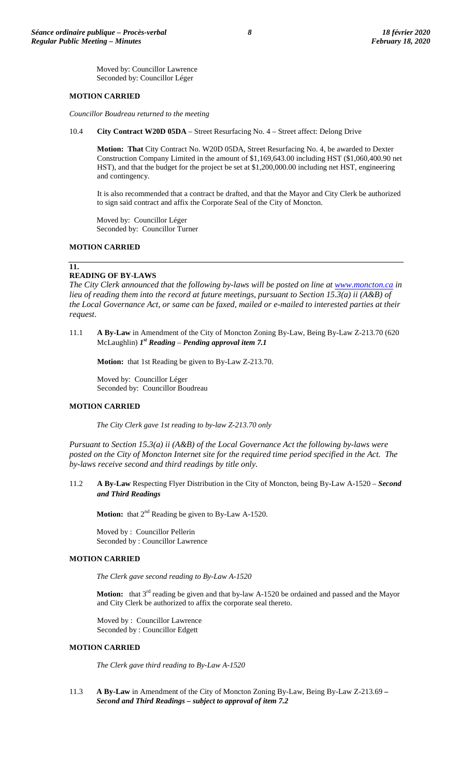Moved by: Councillor Lawrence Seconded by: Councillor Léger

# **MOTION CARRIED**

*Councillor Boudreau returned to the meeting*

10.4 **City Contract W20D 05DA** – Street Resurfacing No. 4 – Street affect: Delong Drive

**Motion: That** City Contract No. W20D 05DA, Street Resurfacing No. 4, be awarded to Dexter Construction Company Limited in the amount of \$1,169,643.00 including HST (\$1,060,400.90 net HST), and that the budget for the project be set at \$1,200,000.00 including net HST, engineering and contingency.

It is also recommended that a contract be drafted, and that the Mayor and City Clerk be authorized to sign said contract and affix the Corporate Seal of the City of Moncton.

Moved by: Councillor Léger Seconded by: Councillor Turner

### **MOTION CARRIED**

#### **11.**

# **READING OF BY-LAWS**

*The City Clerk announced that the following by-laws will be posted on line at [www.moncton.ca](http://www.moncton.ca/) in lieu of reading them into the record at future meetings, pursuant to Section 15.3(a) ii (A&B) of the Local Governance Act, or same can be faxed, mailed or e-mailed to interested parties at their request*.

11.1 **A By-Law** in Amendment of the City of Moncton Zoning By-Law, Being By-Law Z-213.70 (620 McLaughlin) *1st Reading* – *Pending approval item 7.1*

**Motion:** that 1st Reading be given to By-Law Z-213.70.

Moved by: Councillor Léger Seconded by: Councillor Boudreau

### **MOTION CARRIED**

*The City Clerk gave 1st reading to by-law Z-213.70 only*

*Pursuant to Section 15.3(a) ii (A&B) of the Local Governance Act the following by-laws were posted on the City of Moncton Internet site for the required time period specified in the Act. The by-laws receive second and third readings by title only.*

11.2 **A By-Law** Respecting Flyer Distribution in the City of Moncton, being By-Law A-1520 – *Second and Third Readings*

**Motion:** that 2<sup>nd</sup> Reading be given to By-Law A-1520.

Moved by : Councillor Pellerin Seconded by : Councillor Lawrence

### **MOTION CARRIED**

*The Clerk gave second reading to By-Law A-1520*

**Motion:** that 3<sup>rd</sup> reading be given and that by-law A-1520 be ordained and passed and the Mayor and City Clerk be authorized to affix the corporate seal thereto.

Moved by : Councillor Lawrence Seconded by : Councillor Edgett

#### **MOTION CARRIED**

*The Clerk gave third reading to By-Law A-1520*

11.3 **A By-Law** in Amendment of the City of Moncton Zoning By-Law, Being By-Law Z-213.69 *– Second and Third Readings – subject to approval of item 7.2*